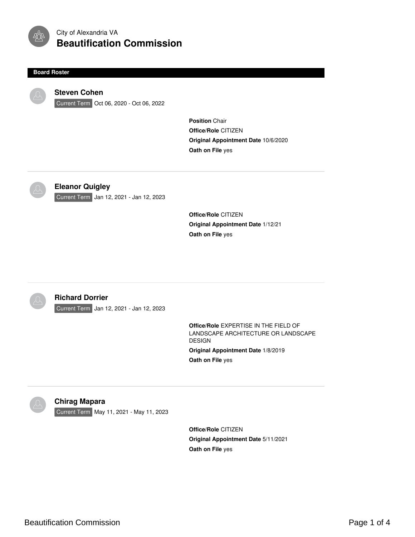

# City of Alexandria VA **Beautification Commission**

#### **Board Roster**



## **Steven Cohen**

Current Term Oct 06, 2020 - Oct 06, 2022

**Position** Chair **Office/Role** CITIZEN **Original Appointment Date** 10/6/2020 **Oath on File** yes



## **Eleanor Quigley**

Current Term Jan 12, 2021 - Jan 12, 2023

**Office/Role** CITIZEN **Original Appointment Date** 1/12/21 **Oath on File** yes



### **Richard Dorrier**

Current Term Jan 12, 2021 - Jan 12, 2023

**Office/Role** EXPERTISE IN THE FIELD OF LANDSCAPE ARCHITECTURE OR LANDSCAPE DESIGN **Original Appointment Date** 1/8/2019 **Oath on File** yes



#### **Chirag Mapara**

Current Term May 11, 2021 - May 11, 2023

**Office/Role** CITIZEN **Original Appointment Date** 5/11/2021 **Oath on File** yes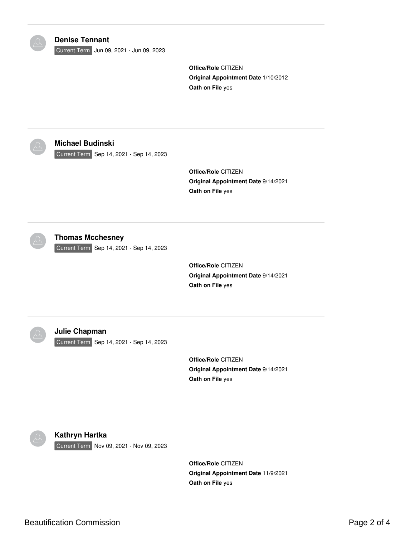| <b>Denise Tennant</b><br>Current Term Jun 09, 2021 - Jun 09, 2023   | <b>Office/Role CITIZEN</b><br>Original Appointment Date 1/10/2012<br>Oath on File yes |
|---------------------------------------------------------------------|---------------------------------------------------------------------------------------|
| <b>Michael Budinski</b><br>Current Term Sep 14, 2021 - Sep 14, 2023 | Office/Role CITIZEN<br>Original Appointment Date 9/14/2021<br>Oath on File yes        |
| <b>Thomas Mcchesney</b><br>Current Term Sep 14, 2021 - Sep 14, 2023 | Office/Role CITIZEN<br>Original Appointment Date 9/14/2021<br>Oath on File yes        |
| <b>Julie Chapman</b><br>Current Term Sep 14, 2021 - Sep 14, 2023    | Office/Role CITIZEN<br>Original Appointment Date 9/14/2021<br>Oath on File yes        |
| Kathryn Hartka<br>Current Term Nov 09, 2021 - Nov 09, 2023          | Office/Role CITIZEN<br>Original Appointment Date 11/9/2021<br>Oath on File yes        |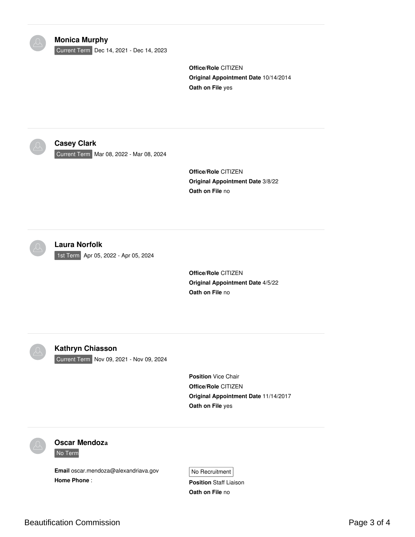| <b>Monica Murphy</b><br>Current Term Dec 14, 2021 - Dec 14, 2023        | Office/Role CITIZEN<br>Original Appointment Date 10/14/2014<br>Oath on File yes                               |
|-------------------------------------------------------------------------|---------------------------------------------------------------------------------------------------------------|
| <b>Casey Clark</b><br>Current Term Mar 08, 2022 - Mar 08, 2024          | Office/Role CITIZEN<br>Original Appointment Date 3/8/22<br>Oath on File no                                    |
| <b>Laura Norfolk</b><br>1st Term Apr 05, 2022 - Apr 05, 2024            | Office/Role CITIZEN<br><b>Original Appointment Date 4/5/22</b><br>Oath on File no                             |
| <b>Kathryn Chiasson</b><br>Current Term Nov 09, 2021 - Nov 09, 2024     | <b>Position Vice Chair</b><br>Office/Role CITIZEN<br>Original Appointment Date 11/14/2017<br>Oath on File yes |
| <b>Oscar Mendoza</b><br>No Term<br>Email oscar.mendoza@alexandriava.gov | No Recruitment                                                                                                |

**Position** Staff Liaison **Oath on File** no

**Home Phone** :